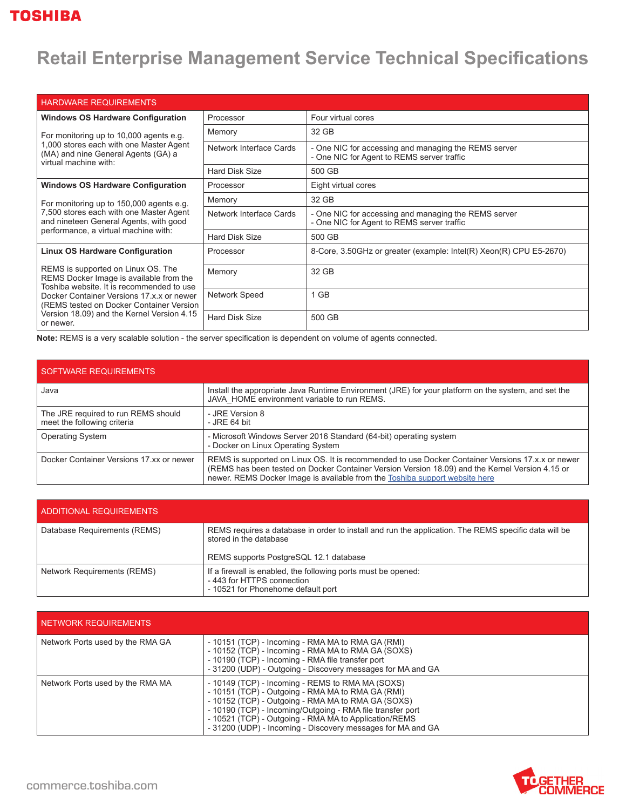## **Retail Enterprise Management Service Technical Specifications**

| <b>HARDWARE REQUIREMENTS</b>                                                                                                                                                                                                                                                   |                         |                                                                                                    |
|--------------------------------------------------------------------------------------------------------------------------------------------------------------------------------------------------------------------------------------------------------------------------------|-------------------------|----------------------------------------------------------------------------------------------------|
| <b>Windows OS Hardware Configuration</b>                                                                                                                                                                                                                                       | Processor               | Four virtual cores                                                                                 |
| For monitoring up to 10,000 agents e.g.<br>1,000 stores each with one Master Agent<br>(MA) and nine General Agents (GA) a<br>virtual machine with:                                                                                                                             | Memory                  | 32 GB                                                                                              |
|                                                                                                                                                                                                                                                                                | Network Interface Cards | - One NIC for accessing and managing the REMS server<br>- One NIC for Agent to REMS server traffic |
|                                                                                                                                                                                                                                                                                | <b>Hard Disk Size</b>   | 500 GB                                                                                             |
| <b>Windows OS Hardware Configuration</b>                                                                                                                                                                                                                                       | Processor               | Eight virtual cores                                                                                |
| For monitoring up to 150,000 agents e.g.<br>7,500 stores each with one Master Agent<br>and nineteen General Agents, with good<br>performance, a virtual machine with:                                                                                                          | Memory                  | 32 GB                                                                                              |
|                                                                                                                                                                                                                                                                                | Network Interface Cards | - One NIC for accessing and managing the REMS server<br>- One NIC for Agent to REMS server traffic |
|                                                                                                                                                                                                                                                                                | <b>Hard Disk Size</b>   | 500 GB                                                                                             |
| <b>Linux OS Hardware Configuration</b>                                                                                                                                                                                                                                         | Processor               | 8-Core, 3.50GHz or greater (example: Intel(R) Xeon(R) CPU E5-2670)                                 |
| REMS is supported on Linux OS. The<br>REMS Docker Image is available from the<br>Toshiba website. It is recommended to use<br>Docker Container Versions 17.x.x or newer<br>(REMS tested on Docker Container Version<br>Version 18.09) and the Kernel Version 4.15<br>or newer. | Memory                  | 32 GB                                                                                              |
|                                                                                                                                                                                                                                                                                | Network Speed           | 1 GB                                                                                               |
|                                                                                                                                                                                                                                                                                | <b>Hard Disk Size</b>   | 500 GB                                                                                             |

**Note:** REMS is a very scalable solution - the server specification is dependent on volume of agents connected.

| SOFTWARE REQUIREMENTS                                              |                                                                                                                                                                                                                                                                                     |
|--------------------------------------------------------------------|-------------------------------------------------------------------------------------------------------------------------------------------------------------------------------------------------------------------------------------------------------------------------------------|
| Java                                                               | Install the appropriate Java Runtime Environment (JRE) for your platform on the system, and set the<br>JAVA HOME environment variable to run REMS.                                                                                                                                  |
| The JRE required to run REMS should<br>meet the following criteria | - JRE Version 8<br>- JRE 64 bit                                                                                                                                                                                                                                                     |
| <b>Operating System</b>                                            | - Microsoft Windows Server 2016 Standard (64-bit) operating system<br>- Docker on Linux Operating System                                                                                                                                                                            |
| Docker Container Versions 17 xx or newer                           | REMS is supported on Linux OS. It is recommended to use Docker Container Versions 17.x.x or newer<br>(REMS has been tested on Docker Container Version Version 18.09) and the Kernel Version 4.15 or<br>newer. REMS Docker Image is available from the Toshiba support website here |

| ADDITIONAL REQUIREMENTS            |                                                                                                                                  |
|------------------------------------|----------------------------------------------------------------------------------------------------------------------------------|
| Database Requirements (REMS)       | REMS requires a database in order to install and run the application. The REMS specific data will be<br>stored in the database   |
|                                    | REMS supports PostgreSQL 12.1 database                                                                                           |
| <b>Network Requirements (REMS)</b> | If a firewall is enabled, the following ports must be opened:<br>-443 for HTTPS connection<br>- 10521 for Phonehome default port |

| NETWORK REQUIREMENTS             |                                                                                                                                                                                                                                                                                                                                                   |
|----------------------------------|---------------------------------------------------------------------------------------------------------------------------------------------------------------------------------------------------------------------------------------------------------------------------------------------------------------------------------------------------|
| Network Ports used by the RMA GA | - 10151 (TCP) - Incoming - RMA MA to RMA GA (RMI)<br>- 10152 (TCP) - Incoming - RMA MA to RMA GA (SOXS)<br>- 10190 (TCP) - Incoming - RMA file transfer port<br>- 31200 (UDP) - Outgoing - Discovery messages for MA and GA                                                                                                                       |
| Network Ports used by the RMA MA | - 10149 (TCP) - Incoming - REMS to RMA MA (SOXS)<br>- 10151 (TCP) - Outgoing - RMA MA to RMA GA (RMI)<br>- 10152 (TCP) - Outgoing - RMA MA to RMA GA (SOXS)<br>- 10190 (TCP) - Incoming/Outgoing - RMA file transfer port<br>- 10521 (TCP) - Outgoing - RMA MA to Application/REMS<br>- 31200 (UDP) - Incoming - Discovery messages for MA and GA |